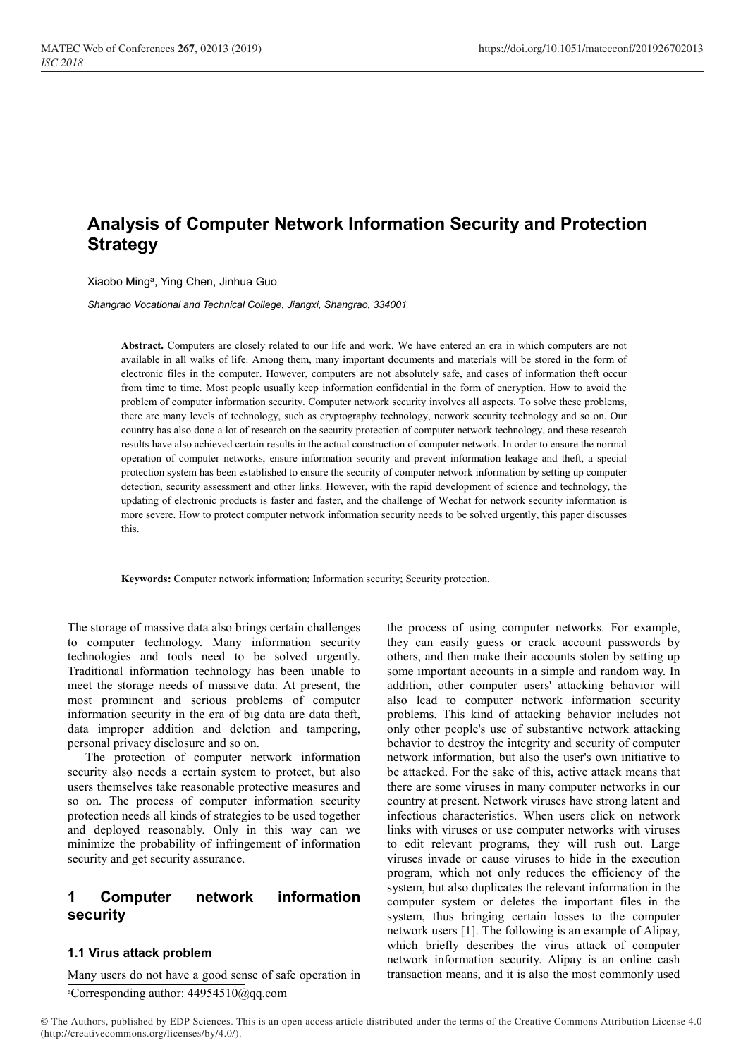# Analysis of Computer Network Information Security and Protection Strategy

Xiaobo Ming<sup>a</sup>, Ying Chen, Jinhua Guo

Shangrao Vocational and Technical College, Jiangxi, Shangrao, 334001

Abstract. Computers are closely related to our life and work. We have entered an era in which computers are not available in all walks of life. Among them, many important documents and materials will be stored in the form of electronic files in the computer. However, computers are not absolutely safe, and cases of information theft occur from time to time. Most people usually keep information confidential in the form of encryption. How to avoid the problem of computer information security. Computer network security involves all aspects. To solve these problems, there are many levels of technology, such as cryptography technology, network security technology and so on. Our country has also done a lot of research on the security protection of computer network technology, and these research results have also achieved certain results in the actual construction of computer network. In order to ensure the normal operation of computer networks, ensure information security and prevent information leakage and theft, a special protection system has been established to ensure the security of computer network information by setting up computer detection, security assessment and other links. However, with the rapid development of science and technology, the updating of electronic products is faster and faster, and the challenge of Wechat for network security information is more severe. How to protect computer network information security needs to be solved urgently, this paper discusses this.

Keywords: Computer network information; Information security; Security protection.

The storage of massive data also brings certain challenges to computer technology. Many information security technologies and tools need to be solved urgently. Traditional information technology has been unable to meet the storage needs of massive data. At present, the most prominent and serious problems of computer information security in the era of big data are data theft, data improper addition and deletion and tampering, personal privacy disclosure and so on.

The protection of computer network information security also needs a certain system to protect, but also users themselves take reasonable protective measures and so on. The process of computer information security protection needs all kinds of strategies to be used together and deployed reasonably. Only in this way can we minimize the probability of infringement of information security and get security assurance.

# 1 Computer network information security

#### 1.1 Virus attack problem

Many users do not have a good sense of safe operation in

<sup>a</sup>Corresponding author: 44954510@qq.com

the process of using computer networks. For example, they can easily guess or crack account passwords by others, and then make their accounts stolen by setting up some important accounts in a simple and random way. In addition, other computer users' attacking behavior will also lead to computer network information security problems. This kind of attacking behavior includes not only other people's use of substantive network attacking behavior to destroy the integrity and security of computer network information, but also the user's own initiative to be attacked. For the sake of this, active attack means that there are some viruses in many computer networks in our country at present. Network viruses have strong latent and infectious characteristics. When users click on network links with viruses or use computer networks with viruses to edit relevant programs, they will rush out. Large viruses invade or cause viruses to hide in the execution program, which not only reduces the efficiency of the system, but also duplicates the relevant information in the computer system or deletes the important files in the system, thus bringing certain losses to the computer network users [1]. The following is an example of Alipay, which briefly describes the virus attack of computer network information security. Alipay is an online cash transaction means, and it is also the most commonly used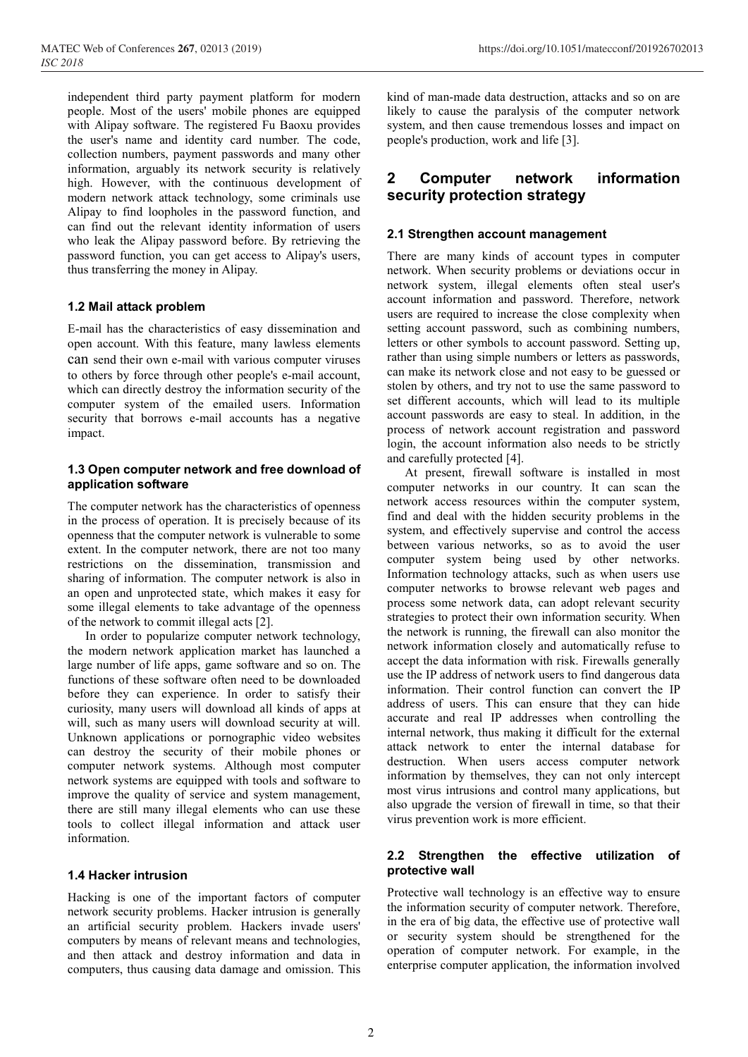independent third party payment platform for modern people. Most of the users' mobile phones are equipped with Alipay software. The registered Fu Baoxu provides the user's name and identity card number. The code, collection numbers, payment passwords and many other information, arguably its network security is relatively high. However, with the continuous development of modern network attack technology, some criminals use Alipay to find loopholes in the password function, and can find out the relevant identity information of users who leak the Alipay password before. By retrieving the password function, you can get access to Alipay's users, thus transferring the money in Alipay.

#### 1.2 Mail attack problem

E-mail has the characteristics of easy dissemination and open account. With this feature, many lawless elements can send their own e-mail with various computer viruses to others by force through other people's e-mail account, which can directly destroy the information security of the computer system of the emailed users. Information security that borrows e-mail accounts has a negative impact.

#### 1.3 Open computer network and free download of application software

The computer network has the characteristics of openness in the process of operation. It is precisely because of its openness that the computer network is vulnerable to some extent. In the computer network, there are not too many restrictions on the dissemination, transmission and sharing of information. The computer network is also in an open and unprotected state, which makes it easy for some illegal elements to take advantage of the openness of the network to commit illegal acts [2].

In order to popularize computer network technology, the modern network application market has launched a large number of life apps, game software and so on. The functions of these software often need to be downloaded before they can experience. In order to satisfy their curiosity, many users will download all kinds of apps at will, such as many users will download security at will. Unknown applications or pornographic video websites can destroy the security of their mobile phones or computer network systems. Although most computer network systems are equipped with tools and software to improve the quality of service and system management, there are still many illegal elements who can use these tools to collect illegal information and attack user information.

#### 1.4 Hacker intrusion

Hacking is one of the important factors of computer network security problems. Hacker intrusion is generally an artificial security problem. Hackers invade users' computers by means of relevant means and technologies, and then attack and destroy information and data in computers, thus causing data damage and omission. This kind of man-made data destruction, attacks and so on are likely to cause the paralysis of the computer network system, and then cause tremendous losses and impact on people's production, work and life [3].

## 2 Computer network information security protection strategy

#### 2.1 Strengthen account management

There are many kinds of account types in computer network. When security problems or deviations occur in network system, illegal elements often steal user's account information and password. Therefore, network users are required to increase the close complexity when setting account password, such as combining numbers, letters or other symbols to account password. Setting up, rather than using simple numbers or letters as passwords, can make its network close and not easy to be guessed or stolen by others, and try not to use the same password to set different accounts, which will lead to its multiple account passwords are easy to steal. In addition, in the process of network account registration and password login, the account information also needs to be strictly and carefully protected [4].

At present, firewall software is installed in most computer networks in our country. It can scan the network access resources within the computer system, find and deal with the hidden security problems in the system, and effectively supervise and control the access between various networks, so as to avoid the user computer system being used by other networks. Information technology attacks, such as when users use computer networks to browse relevant web pages and process some network data, can adopt relevant security strategies to protect their own information security. When the network is running, the firewall can also monitor the network information closely and automatically refuse to accept the data information with risk. Firewalls generally use the IP address of network users to find dangerous data information. Their control function can convert the IP address of users. This can ensure that they can hide accurate and real IP addresses when controlling the internal network, thus making it difficult for the external attack network to enter the internal database for destruction. When users access computer network information by themselves, they can not only intercept most virus intrusions and control many applications, but also upgrade the version of firewall in time, so that their virus prevention work is more efficient.

#### 2.2 Strengthen the effective utilization of protective wall

Protective wall technology is an effective way to ensure the information security of computer network. Therefore, in the era of big data, the effective use of protective wall or security system should be strengthened for the operation of computer network. For example, in the enterprise computer application, the information involved